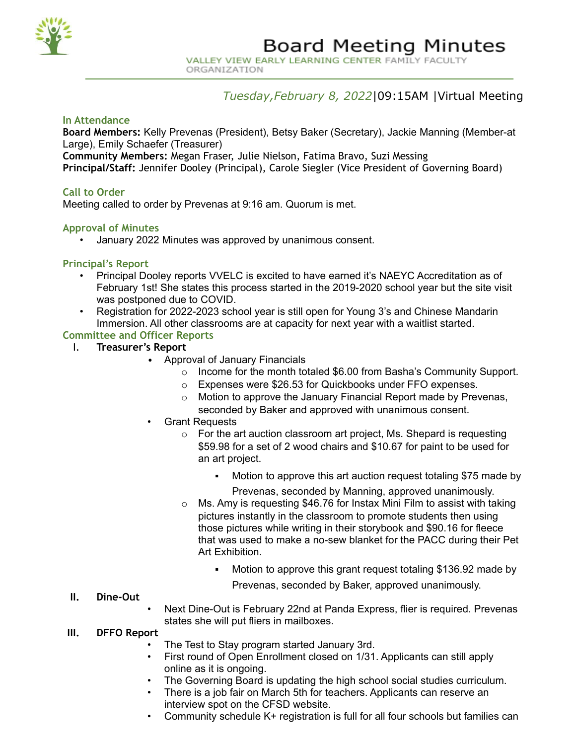

ORGANIZATION

# *Tuesday,February 8, 2022*|09:15AM |Virtual Meeting

#### **In Attendance**

**Board Members:** Kelly Prevenas (President), Betsy Baker (Secretary), Jackie Manning (Member-at Large), Emily Schaefer (Treasurer)

**Community Members:** Megan Fraser, Julie Nielson, Fatima Bravo, Suzi Messing

**Principal/Staff:** Jennifer Dooley (Principal), Carole Siegler (Vice President of Governing Board)

## **Call to Order**

Meeting called to order by Prevenas at 9:16 am. Quorum is met.

#### **Approval of Minutes**

• January 2022 Minutes was approved by unanimous consent.

#### **Principal's Report**

- Principal Dooley reports VVELC is excited to have earned it's NAEYC Accreditation as of February 1st! She states this process started in the 2019-2020 school year but the site visit was postponed due to COVID.
- Registration for 2022-2023 school year is still open for Young 3's and Chinese Mandarin Immersion. All other classrooms are at capacity for next year with a waitlist started.

# **Committee and Officer Reports**

- I. **Treasurer's Report**
	- Approval of January Financials
		- o Income for the month totaled \$6.00 from Basha's Community Support.
		- o Expenses were \$26.53 for Quickbooks under FFO expenses.
		- o Motion to approve the January Financial Report made by Prevenas, seconded by Baker and approved with unanimous consent.
	- Grant Requests
		- $\circ$  For the art auction classroom art project, Ms. Shepard is requesting \$59.98 for a set of 2 wood chairs and \$10.67 for paint to be used for an art project.
			- Motion to approve this art auction request totaling \$75 made by
				- Prevenas, seconded by Manning, approved unanimously.
		- o Ms. Amy is requesting \$46.76 for Instax Mini Film to assist with taking pictures instantly in the classroom to promote students then using those pictures while writing in their storybook and \$90.16 for fleece that was used to make a no-sew blanket for the PACC during their Pet Art Exhibition.
			- Motion to approve this grant request totaling \$136.92 made by Prevenas, seconded by Baker, approved unanimously.

#### **II. Dine-Out**

• Next Dine-Out is February 22nd at Panda Express, flier is required. Prevenas states she will put fliers in mailboxes.

#### **III. DFFO Report**

- The Test to Stay program started January 3rd.
- First round of Open Enrollment closed on 1/31. Applicants can still apply online as it is ongoing.
- The Governing Board is updating the high school social studies curriculum.
- There is a job fair on March 5th for teachers. Applicants can reserve an interview spot on the CFSD website.
- Community schedule K+ registration is full for all four schools but families can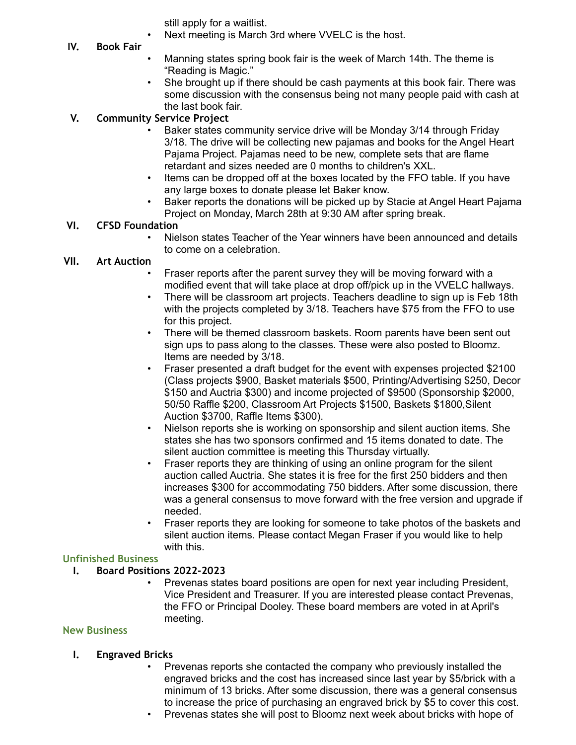still apply for a waitlist.

- Next meeting is March 3rd where VVELC is the host.
- **IV. Book Fair**
- Manning states spring book fair is the week of March 14th. The theme is "Reading is Magic."
- She brought up if there should be cash payments at this book fair. There was some discussion with the consensus being not many people paid with cash at the last book fair.

# **V. Community Service Project**

- Baker states community service drive will be Monday 3/14 through Friday 3/18. The drive will be collecting new pajamas and books for the Angel Heart Pajama Project. Pajamas need to be new, complete sets that are flame retardant and sizes needed are 0 months to children's XXL.
- Items can be dropped off at the boxes located by the FFO table. If you have any large boxes to donate please let Baker know.
- Baker reports the donations will be picked up by Stacie at Angel Heart Pajama Project on Monday, March 28th at 9:30 AM after spring break.

#### **VI. CFSD Foundation**

• Nielson states Teacher of the Year winners have been announced and details to come on a celebration.

## **VII. Art Auction**

- Fraser reports after the parent survey they will be moving forward with a modified event that will take place at drop off/pick up in the VVELC hallways.
- There will be classroom art projects. Teachers deadline to sign up is Feb 18th with the projects completed by 3/18. Teachers have \$75 from the FFO to use for this project.
- There will be themed classroom baskets. Room parents have been sent out sign ups to pass along to the classes. These were also posted to Bloomz. Items are needed by 3/18.
- Fraser presented a draft budget for the event with expenses projected \$2100 (Class projects \$900, Basket materials \$500, Printing/Advertising \$250, Decor \$150 and Auctria \$300) and income projected of \$9500 (Sponsorship \$2000, 50/50 Raffle \$200, Classroom Art Projects \$1500, Baskets \$1800,Silent Auction \$3700, Raffle Items \$300).
- Nielson reports she is working on sponsorship and silent auction items. She states she has two sponsors confirmed and 15 items donated to date. The silent auction committee is meeting this Thursday virtually.
- Fraser reports they are thinking of using an online program for the silent auction called Auctria. She states it is free for the first 250 bidders and then increases \$300 for accommodating 750 bidders. After some discussion, there was a general consensus to move forward with the free version and upgrade if needed.
- Fraser reports they are looking for someone to take photos of the baskets and silent auction items. Please contact Megan Fraser if you would like to help with this.

## **Unfinished Business**

## **I. Board Positions 2022-2023**

• Prevenas states board positions are open for next year including President, Vice President and Treasurer. If you are interested please contact Prevenas, the FFO or Principal Dooley. These board members are voted in at April's meeting.

#### **New Business**

#### **I. Engraved Bricks**

- Prevenas reports she contacted the company who previously installed the engraved bricks and the cost has increased since last year by \$5/brick with a minimum of 13 bricks. After some discussion, there was a general consensus to increase the price of purchasing an engraved brick by \$5 to cover this cost.
- Prevenas states she will post to Bloomz next week about bricks with hope of